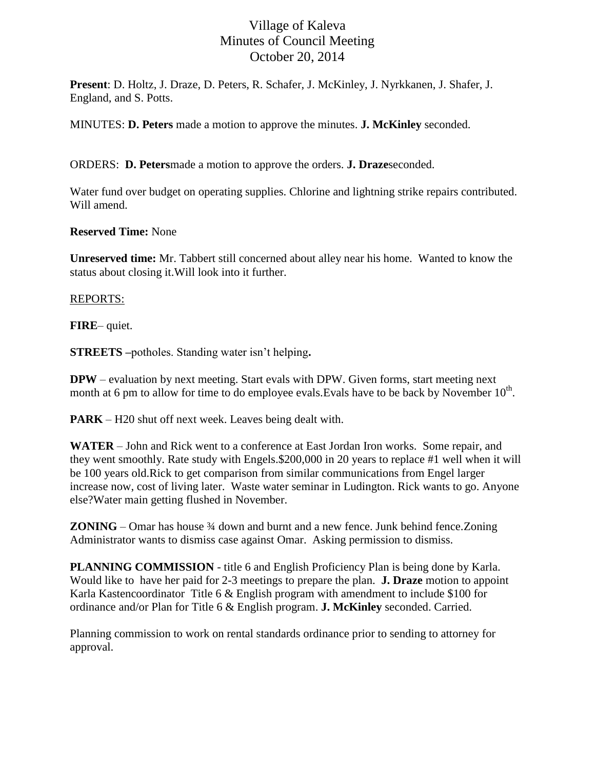## Village of Kaleva Minutes of Council Meeting October 20, 2014

**Present**: D. Holtz, J. Draze, D. Peters, R. Schafer, J. McKinley, J. Nyrkkanen, J. Shafer, J. England, and S. Potts.

MINUTES: **D. Peters** made a motion to approve the minutes. **J. McKinley** seconded.

ORDERS: **D. Peters**made a motion to approve the orders. **J. Draze**seconded.

Water fund over budget on operating supplies. Chlorine and lightning strike repairs contributed. Will amend.

**Reserved Time:** None

**Unreserved time:** Mr. Tabbert still concerned about alley near his home. Wanted to know the status about closing it.Will look into it further.

## REPORTS:

**FIRE**– quiet.

**STREETS –**potholes. Standing water isn't helping**.** 

**DPW** – evaluation by next meeting. Start evals with DPW. Given forms, start meeting next month at 6 pm to allow for time to do employee evals. Evals have to be back by November  $10<sup>th</sup>$ .

**PARK** – H20 shut off next week. Leaves being dealt with.

**WATER** – John and Rick went to a conference at East Jordan Iron works. Some repair, and they went smoothly. Rate study with Engels.\$200,000 in 20 years to replace #1 well when it will be 100 years old.Rick to get comparison from similar communications from Engel larger increase now, cost of living later. Waste water seminar in Ludington. Rick wants to go. Anyone else?Water main getting flushed in November.

**ZONING** – Omar has house <sup>3</sup>/4 down and burnt and a new fence. Junk behind fence. Zoning Administrator wants to dismiss case against Omar. Asking permission to dismiss.

**PLANNING COMMISSION** - title 6 and English Proficiency Plan is being done by Karla. Would like to have her paid for 2-3 meetings to prepare the plan. **J. Draze** motion to appoint Karla Kastencoordinator Title 6 & English program with amendment to include \$100 for ordinance and/or Plan for Title 6 & English program. **J. McKinley** seconded. Carried.

Planning commission to work on rental standards ordinance prior to sending to attorney for approval.